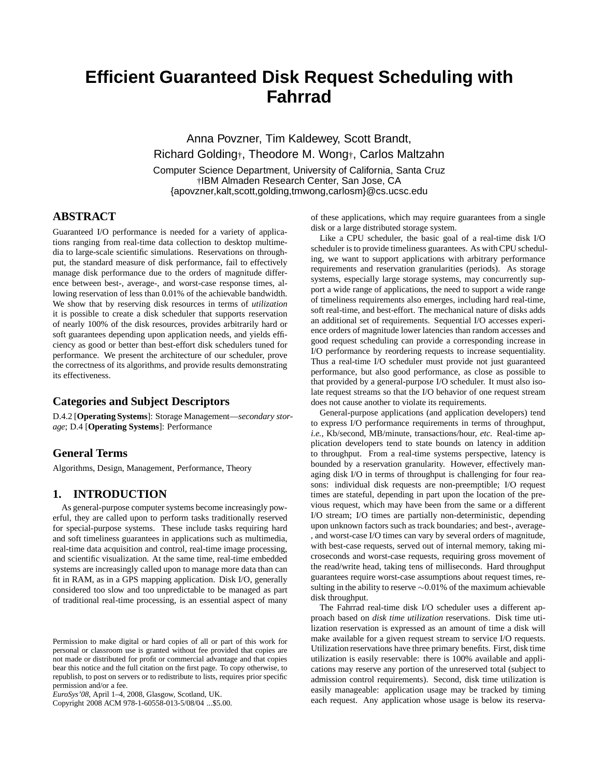# **Efficient Guaranteed Disk Request Scheduling with Fahrrad**

Anna Povzner, Tim Kaldewey, Scott Brandt, Richard Golding†, Theodore M. Wong†, Carlos Maltzahn Computer Science Department, University of California, Santa Cruz †IBM Almaden Research Center, San Jose, CA {apovzner,kalt,scott,golding,tmwong,carlosm}@cs.ucsc.edu

# **ABSTRACT**

Guaranteed I/O performance is needed for a variety of applications ranging from real-time data collection to desktop multimedia to large-scale scientific simulations. Reservations on throughput, the standard measure of disk performance, fail to effectively manage disk performance due to the orders of magnitude difference between best-, average-, and worst-case response times, allowing reservation of less than 0.01% of the achievable bandwidth. We show that by reserving disk resources in terms of *utilization* it is possible to create a disk scheduler that supports reservation of nearly 100% of the disk resources, provides arbitrarily hard or soft guarantees depending upon application needs, and yields efficiency as good or better than best-effort disk schedulers tuned for performance. We present the architecture of our scheduler, prove the correctness of its algorithms, and provide results demonstrating its effectiveness.

# **Categories and Subject Descriptors**

D.4.2 [**Operating Systems**]: Storage Management—*secondary storage*; D.4 [**Operating Systems**]: Performance

# **General Terms**

Algorithms, Design, Management, Performance, Theory

# **1. INTRODUCTION**

As general-purpose computer systems become increasingly powerful, they are called upon to perform tasks traditionally reserved for special-purpose systems. These include tasks requiring hard and soft timeliness guarantees in applications such as multimedia, real-time data acquisition and control, real-time image processing, and scientific visualization. At the same time, real-time embedded systems are increasingly called upon to manage more data than can fit in RAM, as in a GPS mapping application. Disk I/O, generally considered too slow and too unpredictable to be managed as part of traditional real-time processing, is an essential aspect of many

Copyright 2008 ACM 978-1-60558-013-5/08/04 ...\$5.00.

of these applications, which may require guarantees from a single disk or a large distributed storage system.

Like a CPU scheduler, the basic goal of a real-time disk I/O scheduler is to provide timeliness guarantees. As with CPU scheduling, we want to support applications with arbitrary performance requirements and reservation granularities (periods). As storage systems, especially large storage systems, may concurrently support a wide range of applications, the need to support a wide range of timeliness requirements also emerges, including hard real-time, soft real-time, and best-effort. The mechanical nature of disks adds an additional set of requirements. Sequential I/O accesses experience orders of magnitude lower latencies than random accesses and good request scheduling can provide a corresponding increase in I/O performance by reordering requests to increase sequentiality. Thus a real-time I/O scheduler must provide not just guaranteed performance, but also good performance, as close as possible to that provided by a general-purpose I/O scheduler. It must also isolate request streams so that the I/O behavior of one request stream does not cause another to violate its requirements.

General-purpose applications (and application developers) tend to express I/O performance requirements in terms of throughput, *i.e.,* Kb/second, MB/minute, transactions/hour, *etc.* Real-time application developers tend to state bounds on latency in addition to throughput. From a real-time systems perspective, latency is bounded by a reservation granularity. However, effectively managing disk I/O in terms of throughput is challenging for four reasons: individual disk requests are non-preemptible; I/O request times are stateful, depending in part upon the location of the previous request, which may have been from the same or a different I/O stream; I/O times are partially non-deterministic, depending upon unknown factors such as track boundaries; and best-, average- , and worst-case I/O times can vary by several orders of magnitude, with best-case requests, served out of internal memory, taking microseconds and worst-case requests, requiring gross movement of the read/write head, taking tens of milliseconds. Hard throughput guarantees require worst-case assumptions about request times, resulting in the ability to reserve ∼0.01% of the maximum achievable disk throughput.

The Fahrrad real-time disk I/O scheduler uses a different approach based on *disk time utilization* reservations. Disk time utilization reservation is expressed as an amount of time a disk will make available for a given request stream to service I/O requests. Utilization reservations have three primary benefits. First, disk time utilization is easily reservable: there is 100% available and applications may reserve any portion of the unreserved total (subject to admission control requirements). Second, disk time utilization is easily manageable: application usage may be tracked by timing each request. Any application whose usage is below its reserva-

Permission to make digital or hard copies of all or part of this work for personal or classroom use is granted without fee provided that copies are not made or distributed for profit or commercial advantage and that copies bear this notice and the full citation on the first page. To copy otherwise, to republish, to post on servers or to redistribute to lists, requires prior specific permission and/or a fee.

*EuroSys'08,* April 1–4, 2008, Glasgow, Scotland, UK.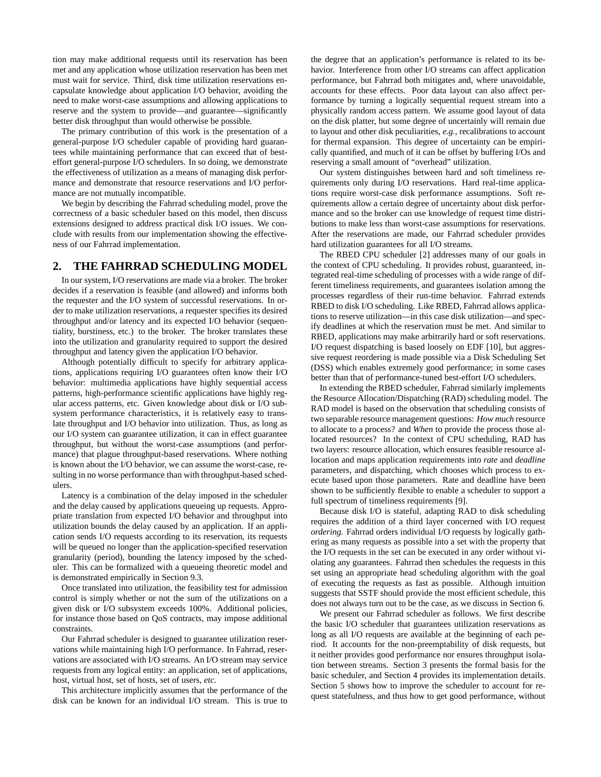tion may make additional requests until its reservation has been met and any application whose utilization reservation has been met must wait for service. Third, disk time utilization reservations encapsulate knowledge about application I/O behavior, avoiding the need to make worst-case assumptions and allowing applications to reserve and the system to provide—and guarantee—significantly better disk throughput than would otherwise be possible.

The primary contribution of this work is the presentation of a general-purpose I/O scheduler capable of providing hard guarantees while maintaining performance that can exceed that of besteffort general-purpose I/O schedulers. In so doing, we demonstrate the effectiveness of utilization as a means of managing disk performance and demonstrate that resource reservations and I/O performance are not mutually incompatible.

We begin by describing the Fahrrad scheduling model, prove the correctness of a basic scheduler based on this model, then discuss extensions designed to address practical disk I/O issues. We conclude with results from our implementation showing the effectiveness of our Fahrrad implementation.

# **2. THE FAHRRAD SCHEDULING MODEL**

In our system, I/O reservations are made via a broker. The broker decides if a reservation is feasible (and allowed) and informs both the requester and the I/O system of successful reservations. In order to make utilization reservations, a requester specifies its desired throughput and/or latency and its expected I/O behavior (sequentiality, burstiness, etc.) to the broker. The broker translates these into the utilization and granularity required to support the desired throughput and latency given the application I/O behavior.

Although potentially difficult to specify for arbitrary applications, applications requiring I/O guarantees often know their I/O behavior: multimedia applications have highly sequential access patterns, high-performance scientific applications have highly regular access patterns, etc. Given knowledge about disk or I/O subsystem performance characteristics, it is relatively easy to translate throughput and I/O behavior into utilization. Thus, as long as our I/O system can guarantee utilization, it can in effect guarantee throughput, but without the worst-case assumptions (and performance) that plague throughput-based reservations. Where nothing is known about the I/O behavior, we can assume the worst-case, resulting in no worse performance than with throughput-based schedulers.

Latency is a combination of the delay imposed in the scheduler and the delay caused by applications queueing up requests. Appropriate translation from expected I/O behavior and throughput into utilization bounds the delay caused by an application. If an application sends I/O requests according to its reservation, its requests will be queued no longer than the application-specified reservation granularity (period), bounding the latency imposed by the scheduler. This can be formalized with a queueing theoretic model and is demonstrated empirically in Section 9.3.

Once translated into utilization, the feasibility test for admission control is simply whether or not the sum of the utilizations on a given disk or I/O subsystem exceeds 100%. Additional policies, for instance those based on QoS contracts, may impose additional constraints.

Our Fahrrad scheduler is designed to guarantee utilization reservations while maintaining high I/O performance. In Fahrrad, reservations are associated with I/O streams. An I/O stream may service requests from any logical entity: an application, set of applications, host, virtual host, set of hosts, set of users, *etc.*

This architecture implicitly assumes that the performance of the disk can be known for an individual I/O stream. This is true to

the degree that an application's performance is related to its behavior. Interference from other I/O streams can affect application performance, but Fahrrad both mitigates and, where unavoidable, accounts for these effects. Poor data layout can also affect performance by turning a logically sequential request stream into a physically random access pattern. We assume good layout of data on the disk platter, but some degree of uncertainly will remain due to layout and other disk peculiarities, *e.g.,* recalibrations to account for thermal expansion. This degree of uncertainty can be empirically quantified, and much of it can be offset by buffering I/Os and reserving a small amount of "overhead" utilization.

Our system distinguishes between hard and soft timeliness requirements only during I/O reservations. Hard real-time applications require worst-case disk performance assumptions. Soft requirements allow a certain degree of uncertainty about disk performance and so the broker can use knowledge of request time distributions to make less than worst-case assumptions for reservations. After the reservations are made, our Fahrrad scheduler provides hard utilization guarantees for all I/O streams.

The RBED CPU scheduler [2] addresses many of our goals in the context of CPU scheduling. It provides robust, guaranteed, integrated real-time scheduling of processes with a wide range of different timeliness requirements, and guarantees isolation among the processes regardless of their run-time behavior. Fahrrad extends RBED to disk I/O scheduling. Like RBED, Fahrrad allows applications to reserve utilization—in this case disk utilization—and specify deadlines at which the reservation must be met. And similar to RBED, applications may make arbitrarily hard or soft reservations. I/O request dispatching is based loosely on EDF [10], but aggressive request reordering is made possible via a Disk Scheduling Set (DSS) which enables extremely good performance; in some cases better than that of performance-tuned best-effort I/O schedulers.

In extending the RBED scheduler, Fahrrad similarly implements the Resource Allocation/Dispatching (RAD) scheduling model. The RAD model is based on the observation that scheduling consists of two separable resource management questions: *How much* resource to allocate to a process? and *When* to provide the process those allocated resources? In the context of CPU scheduling, RAD has two layers: resource allocation, which ensures feasible resource allocation and maps application requirements into *rate* and *deadline* parameters, and dispatching, which chooses which process to execute based upon those parameters. Rate and deadline have been shown to be sufficiently flexible to enable a scheduler to support a full spectrum of timeliness requirements [9].

Because disk I/O is stateful, adapting RAD to disk scheduling requires the addition of a third layer concerned with I/O request *ordering*. Fahrrad orders individual I/O requests by logically gathering as many requests as possible into a set with the property that the I/O requests in the set can be executed in any order without violating any guarantees. Fahrrad then schedules the requests in this set using an appropriate head scheduling algorithm with the goal of executing the requests as fast as possible. Although intuition suggests that SSTF should provide the most efficient schedule, this does not always turn out to be the case, as we discuss in Section 6.

We present our Fahrrad scheduler as follows. We first describe the basic I/O scheduler that guarantees utilization reservations as long as all I/O requests are available at the beginning of each period. It accounts for the non-preemptability of disk requests, but it neither provides good performance nor ensures throughput isolation between streams. Section 3 presents the formal basis for the basic scheduler, and Section 4 provides its implementation details. Section 5 shows how to improve the scheduler to account for request statefulness, and thus how to get good performance, without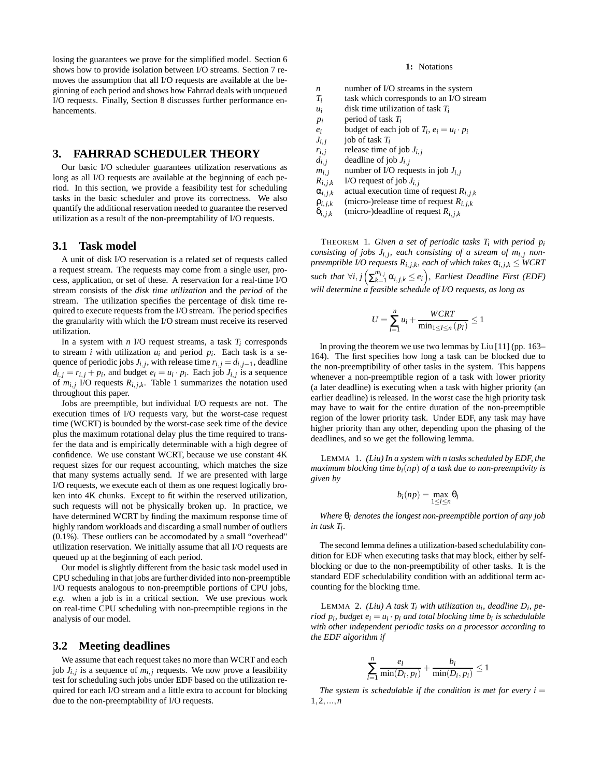losing the guarantees we prove for the simplified model. Section 6 shows how to provide isolation between I/O streams. Section 7 removes the assumption that all I/O requests are available at the beginning of each period and shows how Fahrrad deals with unqueued I/O requests. Finally, Section 8 discusses further performance enhancements.

# **3. FAHRRAD SCHEDULER THEORY**

Our basic I/O scheduler guarantees utilization reservations as long as all I/O requests are available at the beginning of each period. In this section, we provide a feasibility test for scheduling tasks in the basic scheduler and prove its correctness. We also quantify the additional reservation needed to guarantee the reserved utilization as a result of the non-preemptability of I/O requests.

#### **3.1 Task model**

A unit of disk I/O reservation is a related set of requests called a request stream. The requests may come from a single user, process, application, or set of these. A reservation for a real-time I/O stream consists of the *disk time utilization* and the *period* of the stream. The utilization specifies the percentage of disk time required to execute requests from the I/O stream. The period specifies the granularity with which the I/O stream must receive its reserved utilization.

In a system with *n* I/O request streams, a task *T<sup>i</sup>* corresponds to stream *i* with utilization  $u_i$  and period  $p_i$ . Each task is a sequence of periodic jobs  $J_{i,j}$ , with release time  $r_{i,j} = d_{i,j-1}$ , deadline  $d_{i,j} = r_{i,j} + p_i$ , and budget  $e_i = u_i \cdot p_i$ . Each job  $J_{i,j}$  is a sequence of  $m_{i,j}$  I/O requests  $R_{i,j,k}$ . Table 1 summarizes the notation used throughout this paper.

Jobs are preemptible, but individual I/O requests are not. The execution times of I/O requests vary, but the worst-case request time (WCRT) is bounded by the worst-case seek time of the device plus the maximum rotational delay plus the time required to transfer the data and is empirically determinable with a high degree of confidence. We use constant WCRT, because we use constant 4K request sizes for our request accounting, which matches the size that many systems actually send. If we are presented with large I/O requests, we execute each of them as one request logically broken into 4K chunks. Except to fit within the reserved utilization, such requests will not be physically broken up. In practice, we have determined WCRT by finding the maximum response time of highly random workloads and discarding a small number of outliers (0.1%). These outliers can be accomodated by a small "overhead" utilization reservation. We initially assume that all I/O requests are queued up at the beginning of each period.

Our model is slightly different from the basic task model used in CPU scheduling in that jobs are further divided into non-preemptible I/O requests analogous to non-preemptible portions of CPU jobs, *e.g.* when a job is in a critical section. We use previous work on real-time CPU scheduling with non-preemptible regions in the analysis of our model.

# **3.2 Meeting deadlines**

We assume that each request takes no more than WCRT and each job  $J_{i,j}$  is a sequence of  $m_{i,j}$  requests. We now prove a feasibility test for scheduling such jobs under EDF based on the utilization required for each I/O stream and a little extra to account for blocking due to the non-preemptability of I/O requests.

#### **1:** Notations

- *n* number of I/O streams in the system
- *Ti* task which corresponds to an I/O stream
- $u_i$  disk time utilization of task  $T_i$
- $p_i$  period of task  $T_i$
- $e_i$  budget of each job of  $T_i$ ,  $e_i = u_i \cdot p_i$
- $J_{i,j}$ job of task *T<sup>i</sup>*
- $r_{i,j}$  release time of job  $J_{i,j}$ <br>*d<sub>i, <i>j*</sub> deadline of job  $J_{i,j}$
- *di*, *<sup>j</sup>* deadline of job *Ji*, *<sup>j</sup>*
- $m_{i,j}$  number of I/O requests in job  $J_{i,j}$
- $R_{i,j,k}$ I/O request of job *Ji*, *<sup>j</sup>*
- $\alpha_{i,j,k}$  actual execution time of request  $R_{i,j,k}$
- $\rho_{i,j,k}$ (micro-)release time of request  $R_{i,j,k}$
- $\delta_{i,j,k}$ (micro-)deadline of request  $R_{i,j,k}$

THEOREM 1. *Given a set of periodic tasks T<sup>i</sup> with period p<sup>i</sup>* consisting of jobs  $J_{i,j}$ , each consisting of a stream of  $m_{i,j}$  non*preemptible I/O requests*  $R_{i,j,k}$ *, each of which takes*  $\mathfrak{a}_{i,j,k} \leq WCRT$ such that  $\forall i, j$   $\left( \sum_{k=1}^{m_{i,j}} \alpha_{i,j,k} \leq e_i \right)$ , Earliest Deadline First (EDF) *will determine a feasible schedule of I/O requests, as long as*

$$
U = \sum_{i=1}^{n} u_i + \frac{WCRT}{\min_{1 \leq l \leq n} (p_l)} \leq 1
$$

In proving the theorem we use two lemmas by Liu [11] (pp. 163– 164). The first specifies how long a task can be blocked due to the non-preemptibility of other tasks in the system. This happens whenever a non-preemptible region of a task with lower priority (a later deadline) is executing when a task with higher priority (an earlier deadline) is released. In the worst case the high priority task may have to wait for the entire duration of the non-preemptible region of the lower priority task. Under EDF, any task may have higher priority than any other, depending upon the phasing of the deadlines, and so we get the following lemma.

LEMMA 1. *(Liu) In a system with n tasks scheduled by EDF, the maximum blocking time bi*(*np*) *of a task due to non-preemptivity is given by*

$$
b_i(np) = \max_{1 \leq l \leq n} \theta_l
$$

*Where* θ*<sup>l</sup> denotes the longest non-preemptible portion of any job in task T<sup>l</sup> .*

The second lemma defines a utilization-based schedulability condition for EDF when executing tasks that may block, either by selfblocking or due to the non-preemptibility of other tasks. It is the standard EDF schedulability condition with an additional term accounting for the blocking time.

LEMMA 2. *(Liu)* A task  $T_i$  with utilization  $u_i$ , deadline  $D_i$ , pe*riod*  $p_i$ , budget  $e_i = u_i \cdot p_i$  and total blocking time  $b_i$  is schedulable *with other independent periodic tasks on a processor according to the EDF algorithm if*

$$
\sum_{l=1}^{n} \frac{e_l}{\min(D_l, p_l)} + \frac{b_i}{\min(D_i, p_i)} \le 1
$$

The system is schedulable if the condition is met for every  $i =$ 1,2,...,*n*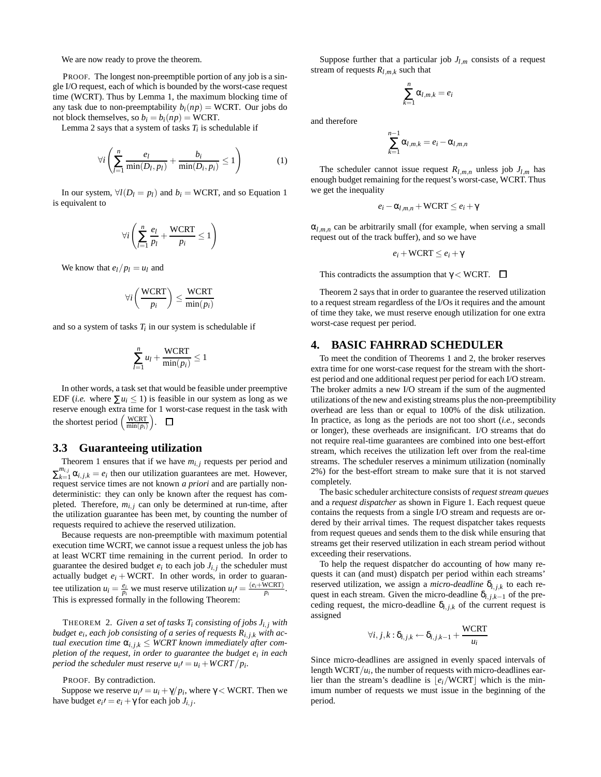We are now ready to prove the theorem.

PROOF. The longest non-preemptible portion of any job is a single I/O request, each of which is bounded by the worst-case request time (WCRT). Thus by Lemma 1, the maximum blocking time of any task due to non-preemptability  $b_i(np) = WCRT$ . Our jobs do not block themselves, so  $b_i = b_i(np) = WCRT$ .

Lemma 2 says that a system of tasks *T<sup>i</sup>* is schedulable if

$$
\forall i \left( \sum_{l=1}^{n} \frac{e_l}{\min(D_l, p_l)} + \frac{b_i}{\min(D_i, p_i)} \le 1 \right) \tag{1}
$$

In our system,  $\forall l(D_l = p_l)$  and  $b_i = \text{WCRT}$ , and so Equation 1 is equivalent to

$$
\forall i \left( \sum_{l=1}^{n} \frac{e_l}{p_l} + \frac{\text{WCRT}}{p_i} \le 1 \right)
$$

We know that  $e_l/p_l = u_l$  and

$$
\forall i \left( \frac{\text{WCRT}}{p_i} \right) \leq \frac{\text{WCRT}}{\min(p_i)}
$$

and so a system of tasks  $T_i$  in our system is schedulable if

$$
\sum_{l=1}^{n} u_l + \frac{\text{WCRT}}{\min(p_i)} \le 1
$$

In other words, a task set that would be feasible under preemptive EDF (*i.e.* where  $\sum u_i \leq 1$ ) is feasible in our system as long as we reserve enough extra time for 1 worst-case request in the task with the shortest period  $\left(\frac{\text{WCRT}}{\min(p_i)}\right)$ .

# **3.3 Guaranteeing utilization**

Theorem 1 ensures that if we have  $m_{i,j}$  requests per period and  $\sum_{k=1}^{m_{i,j}} \alpha_{i,j,k} = e_i$  then our utilization guarantees are met. However, request service times are not known *a priori* and are partially nondeterministic: they can only be known after the request has completed. Therefore,  $m_{i,j}$  can only be determined at run-time, after the utilization guarantee has been met, by counting the number of requests required to achieve the reserved utilization.

Because requests are non-preemptible with maximum potential execution time WCRT, we cannot issue a request unless the job has at least WCRT time remaining in the current period. In order to guarantee the desired budget  $e_i$  to each job  $J_{i,j}$  the scheduler must actually budget  $e_i$  + WCRT. In other words, in order to guarantee utilization  $u_i = \frac{e_i}{p_i}$  we must reserve utilization  $u_i / = \frac{(e_i + \text{WCRT})}{p_i}$ . This is expressed formally in the following Theorem:

**THEOREM** 2. *Given a set of tasks*  $T_i$  *consisting of jobs*  $J_{i,j}$  *with budget ei , each job consisting of a series of requests Ri*, *<sup>j</sup>*,*<sup>k</sup> with actual execution time*  $\alpha_{i,j,k} \leq WCRT$  *known immediately after completion of the request, in order to guarantee the budget ei in each period the scheduler must reserve*  $u_i \ell = u_i + WCRT/p_i$ *.* 

#### PROOF. By contradiction.

Suppose we reserve  $u_i t = u_i + \gamma / p_i$ , where  $\gamma$  < WCRT. Then we have budget  $e_i t = e_i + \gamma$  for each job  $J_{i,j}$ .

Suppose further that a particular job  $J_{l,m}$  consists of a request stream of requests  $R_{l,m,k}$  such that

$$
\sum_{k=1}^n \alpha_{l,m,k} = e_i
$$

and therefore

$$
\sum_{k=1}^{n-1} \alpha_{l,m,k} = e_i - \alpha_{l,m,n}
$$

The scheduler cannot issue request  $R_{l,m,n}$  unless job  $J_{l,m}$  has enough budget remaining for the request's worst-case, WCRT. Thus we get the inequality

$$
e_i - \alpha_{l,m,n} + \text{WCRT} \leq e_i + \gamma
$$

 $\alpha$ <sub>l,*m*,*n*</sub> can be arbitrarily small (for example, when serving a small request out of the track buffer), and so we have

$$
e_i + \text{WCRT} \leq e_i + \gamma
$$

This contradicts the assumption that  $\gamma$  < WCRT.  $\Box$ 

Theorem 2 says that in order to guarantee the reserved utilization to a request stream regardless of the I/Os it requires and the amount of time they take, we must reserve enough utilization for one extra worst-case request per period.

# **4. BASIC FAHRRAD SCHEDULER**

To meet the condition of Theorems 1 and 2, the broker reserves extra time for one worst-case request for the stream with the shortest period and one additional request per period for each I/O stream. The broker admits a new I/O stream if the sum of the augmented utilizations of the new and existing streams plus the non-preemptibility overhead are less than or equal to 100% of the disk utilization. In practice, as long as the periods are not too short (*i.e.,* seconds or longer), these overheads are insignificant. I/O streams that do not require real-time guarantees are combined into one best-effort stream, which receives the utilization left over from the real-time streams. The scheduler reserves a minimum utilization (nominally 2%) for the best-effort stream to make sure that it is not starved completely.

The basic scheduler architecture consists of *request stream queues* and a *request dispatcher* as shown in Figure 1. Each request queue contains the requests from a single I/O stream and requests are ordered by their arrival times. The request dispatcher takes requests from request queues and sends them to the disk while ensuring that streams get their reserved utilization in each stream period without exceeding their reservations.

To help the request dispatcher do accounting of how many requests it can (and must) dispatch per period within each streams' reserved utilization, we assign a *micro-deadline*  $\delta_{i,j,k}$  to each request in each stream. Given the micro-deadline  $\delta_{i,j,k-1}$  of the preceding request, the micro-deadline  $\delta_{i,j,k}$  of the current request is assigned

$$
\forall i, j, k: \delta_{i,j,k} \leftarrow \delta_{i,j,k-1} + \frac{\text{WCRT}}{u_i}
$$

Since micro-deadlines are assigned in evenly spaced intervals of length WCRT/*u<sup>i</sup>* , the number of requests with micro-deadlines earlier than the stream's deadline is  $|e_i/\text{WCRT}|$  which is the minimum number of requests we must issue in the beginning of the period.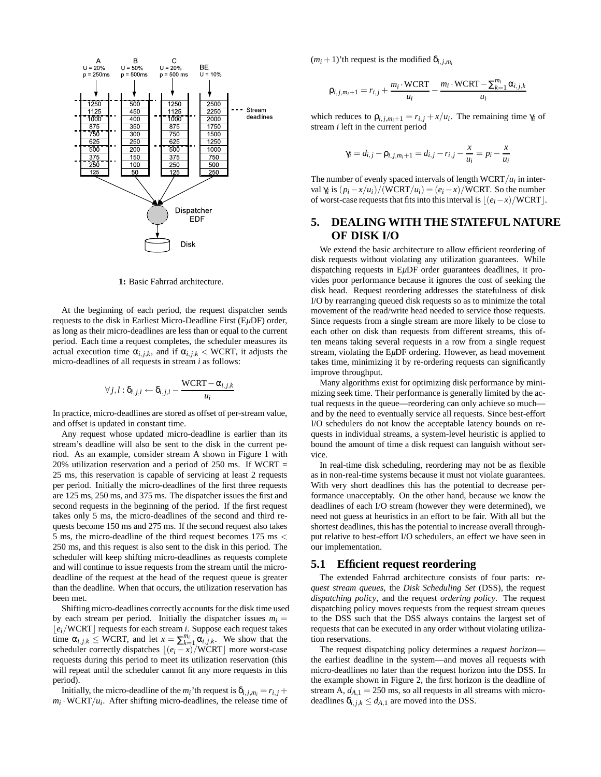

**1:** Basic Fahrrad architecture.

At the beginning of each period, the request dispatcher sends requests to the disk in Earliest Micro-Deadline First (E*µ*DF) order, as long as their micro-deadlines are less than or equal to the current period. Each time a request completes, the scheduler measures its actual execution time  $\alpha_{i,j,k}$ , and if  $\alpha_{i,j,k}$  < WCRT, it adjusts the micro-deadlines of all requests in stream *i* as follows:

$$
\forall j, l: \delta_{i,j,l} \leftarrow \delta_{i,j,l} - \frac{\text{WCRT} - \alpha_{i,j,k}}{u_i}
$$

In practice, micro-deadlines are stored as offset of per-stream value, and offset is updated in constant time.

Any request whose updated micro-deadline is earlier than its stream's deadline will also be sent to the disk in the current period. As an example, consider stream A shown in Figure 1 with 20% utilization reservation and a period of 250 ms. If WCRT = 25 ms, this reservation is capable of servicing at least 2 requests per period. Initially the micro-deadlines of the first three requests are 125 ms, 250 ms, and 375 ms. The dispatcher issues the first and second requests in the beginning of the period. If the first request takes only 5 ms, the micro-deadlines of the second and third requests become 150 ms and 275 ms. If the second request also takes 5 ms, the micro-deadline of the third request becomes 175 ms < 250 ms, and this request is also sent to the disk in this period. The scheduler will keep shifting micro-deadlines as requests complete and will continue to issue requests from the stream until the microdeadline of the request at the head of the request queue is greater than the deadline. When that occurs, the utilization reservation has been met.

Shifting micro-deadlines correctly accounts for the disk time used by each stream per period. Initially the dispatcher issues  $m_i =$ ⌊*ei*/WCRT⌋ requests for each stream *i*. Suppose each request takes time  $\alpha_{i,j,k} \leq \text{WCRT}$ , and let  $x = \sum_{k=1}^{m_i} \alpha_{i,j,k}$ . We show that the scheduler correctly dispatches  $|(e_i - x)/WCRT|$  more worst-case requests during this period to meet its utilization reservation (this will repeat until the scheduler cannot fit any more requests in this period).

Initially, the micro-deadline of the  $m_i$ <sup>th</sup> request is  $\delta_{i,j,m_i} = r_{i,j} +$  $m_i \cdot \text{WCRT}/u_i$ . After shifting micro-deadlines, the release time of  $(m_i + 1)$ 'th request is the modified  $\delta_{i,j,m_i}$ 

$$
\rho_{i,j,m_i+1} = r_{i,j} + \frac{m_i \cdot \text{WCRT}}{u_i} - \frac{m_i \cdot \text{WCRT} - \sum_{k=1}^{m_i} \alpha_{i,j,k}}{u_i}
$$

which reduces to  $\rho_{i,j,m_i+1} = r_{i,j} + x/u_i$ . The remaining time  $\gamma_i$  of stream *i* left in the current period

$$
\gamma_i = d_{i,j} - \rho_{i,j,m_i+1} = d_{i,j} - r_{i,j} - \frac{x}{u_i} = p_i - \frac{x}{u_i}
$$

The number of evenly spaced intervals of length  $WCRT/u_i$  in interval  $\gamma_i$  is  $(p_i - x/u_i) / (WCRT/u_i) = (e_i - x) / WCRT$ . So the number of worst-case requests that fits into this interval is  $|(e_i - x)/WCRT|$ .

# **5. DEALING WITH THE STATEFUL NATURE OF DISK I/O**

We extend the basic architecture to allow efficient reordering of disk requests without violating any utilization guarantees. While dispatching requests in E*µ*DF order guarantees deadlines, it provides poor performance because it ignores the cost of seeking the disk head. Request reordering addresses the statefulness of disk I/O by rearranging queued disk requests so as to minimize the total movement of the read/write head needed to service those requests. Since requests from a single stream are more likely to be close to each other on disk than requests from different streams, this often means taking several requests in a row from a single request stream, violating the E*µ*DF ordering. However, as head movement takes time, minimizing it by re-ordering requests can significantly improve throughput.

Many algorithms exist for optimizing disk performance by minimizing seek time. Their performance is generally limited by the actual requests in the queue—reordering can only achieve so much and by the need to eventually service all requests. Since best-effort I/O schedulers do not know the acceptable latency bounds on requests in individual streams, a system-level heuristic is applied to bound the amount of time a disk request can languish without service.

In real-time disk scheduling, reordering may not be as flexible as in non-real-time systems because it must not violate guarantees. With very short deadlines this has the potential to decrease performance unacceptably. On the other hand, because we know the deadlines of each I/O stream (however they were determined), we need not guess at heuristics in an effort to be fair. With all but the shortest deadlines, this has the potential to increase overall throughput relative to best-effort I/O schedulers, an effect we have seen in our implementation.

#### **5.1 Efficient request reordering**

The extended Fahrrad architecture consists of four parts: *request stream queues*, the *Disk Scheduling Set* (DSS), the request *dispatching policy*, and the request *ordering policy*. The request dispatching policy moves requests from the request stream queues to the DSS such that the DSS always contains the largest set of requests that can be executed in any order without violating utilization reservations.

The request dispatching policy determines a *request horizon* the earliest deadline in the system—and moves all requests with micro-deadlines no later than the request horizon into the DSS. In the example shown in Figure 2, the first horizon is the deadline of stream A,  $d_{A,1} = 250$  ms, so all requests in all streams with microdeadlines  $\delta_{i,j,k} \leq d_{A,1}$  are moved into the DSS.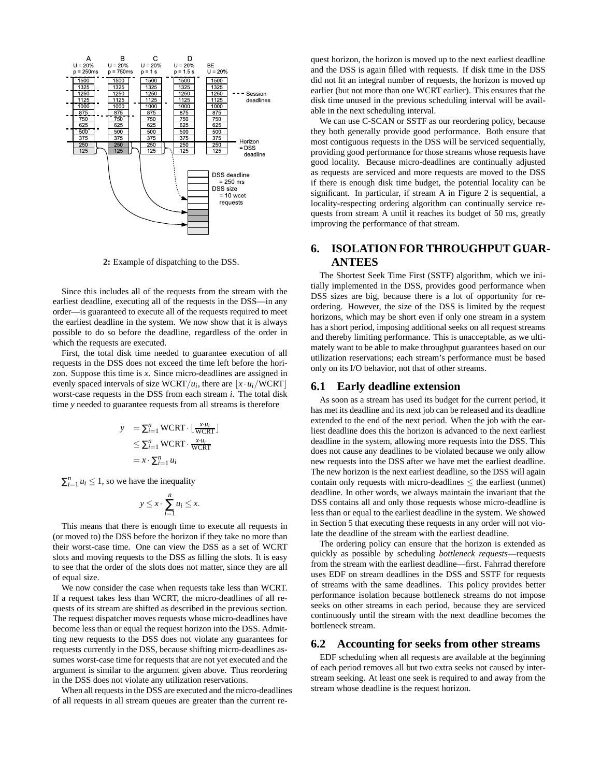

**2:** Example of dispatching to the DSS.

Since this includes all of the requests from the stream with the earliest deadline, executing all of the requests in the DSS—in any order—is guaranteed to execute all of the requests required to meet the earliest deadline in the system. We now show that it is always possible to do so before the deadline, regardless of the order in which the requests are executed.

First, the total disk time needed to guarantee execution of all requests in the DSS does not exceed the time left before the horizon. Suppose this time is *x*. Since micro-deadlines are assigned in evenly spaced intervals of size  $WCRT/u_i$ , there are  $\lfloor x \cdot u_i / WCRT \rfloor$ worst-case requests in the DSS from each stream *i*. The total disk time *y* needed to guarantee requests from all streams is therefore

$$
y = \sum_{i=1}^{n} \text{WCRT} \cdot \lfloor \frac{x \cdot u_i}{\text{WCRT}} \rfloor
$$
  
\n
$$
\leq \sum_{i=1}^{n} \text{WCRT} \cdot \frac{x \cdot u_i}{\text{WCRT}}
$$
  
\n
$$
= x \cdot \sum_{i=1}^{n} u_i
$$

 $\sum_{i=1}^{n} u_i \leq 1$ , so we have the inequality

$$
y \leq x \cdot \sum_{i=1}^{n} u_i \leq x.
$$

This means that there is enough time to execute all requests in (or moved to) the DSS before the horizon if they take no more than their worst-case time. One can view the DSS as a set of WCRT slots and moving requests to the DSS as filling the slots. It is easy to see that the order of the slots does not matter, since they are all of equal size.

We now consider the case when requests take less than WCRT. If a request takes less than WCRT, the micro-deadlines of all requests of its stream are shifted as described in the previous section. The request dispatcher moves requests whose micro-deadlines have become less than or equal the request horizon into the DSS. Admitting new requests to the DSS does not violate any guarantees for requests currently in the DSS, because shifting micro-deadlines assumes worst-case time for requests that are not yet executed and the argument is similar to the argument given above. Thus reordering in the DSS does not violate any utilization reservations.

When all requests in the DSS are executed and the micro-deadlines of all requests in all stream queues are greater than the current request horizon, the horizon is moved up to the next earliest deadline and the DSS is again filled with requests. If disk time in the DSS did not fit an integral number of requests, the horizon is moved up earlier (but not more than one WCRT earlier). This ensures that the disk time unused in the previous scheduling interval will be available in the next scheduling interval.

We can use C-SCAN or SSTF as our reordering policy, because they both generally provide good performance. Both ensure that most contiguous requests in the DSS will be serviced sequentially, providing good performance for those streams whose requests have good locality. Because micro-deadlines are continually adjusted as requests are serviced and more requests are moved to the DSS if there is enough disk time budget, the potential locality can be significant. In particular, if stream A in Figure 2 is sequential, a locality-respecting ordering algorithm can continually service requests from stream A until it reaches its budget of 50 ms, greatly improving the performance of that stream.

# **6. ISOLATION FOR THROUGHPUT GUAR-ANTEES**

The Shortest Seek Time First (SSTF) algorithm, which we initially implemented in the DSS, provides good performance when DSS sizes are big, because there is a lot of opportunity for reordering. However, the size of the DSS is limited by the request horizons, which may be short even if only one stream in a system has a short period, imposing additional seeks on all request streams and thereby limiting performance. This is unacceptable, as we ultimately want to be able to make throughput guarantees based on our utilization reservations; each stream's performance must be based only on its I/O behavior, not that of other streams.

#### **6.1 Early deadline extension**

As soon as a stream has used its budget for the current period, it has met its deadline and its next job can be released and its deadline extended to the end of the next period. When the job with the earliest deadline does this the horizon is advanced to the next earliest deadline in the system, allowing more requests into the DSS. This does not cause any deadlines to be violated because we only allow new requests into the DSS after we have met the earliest deadline. The new horizon is the next earliest deadline, so the DSS will again contain only requests with micro-deadlines ≤ the earliest (unmet) deadline. In other words, we always maintain the invariant that the DSS contains all and only those requests whose micro-deadline is less than or equal to the earliest deadline in the system. We showed in Section 5 that executing these requests in any order will not violate the deadline of the stream with the earliest deadline.

The ordering policy can ensure that the horizon is extended as quickly as possible by scheduling *bottleneck requests*—requests from the stream with the earliest deadline—first. Fahrrad therefore uses EDF on stream deadlines in the DSS and SSTF for requests of streams with the same deadlines. This policy provides better performance isolation because bottleneck streams do not impose seeks on other streams in each period, because they are serviced continuously until the stream with the next deadline becomes the bottleneck stream.

#### **6.2 Accounting for seeks from other streams**

EDF scheduling when all requests are available at the beginning of each period removes all but two extra seeks not caused by interstream seeking. At least one seek is required to and away from the stream whose deadline is the request horizon.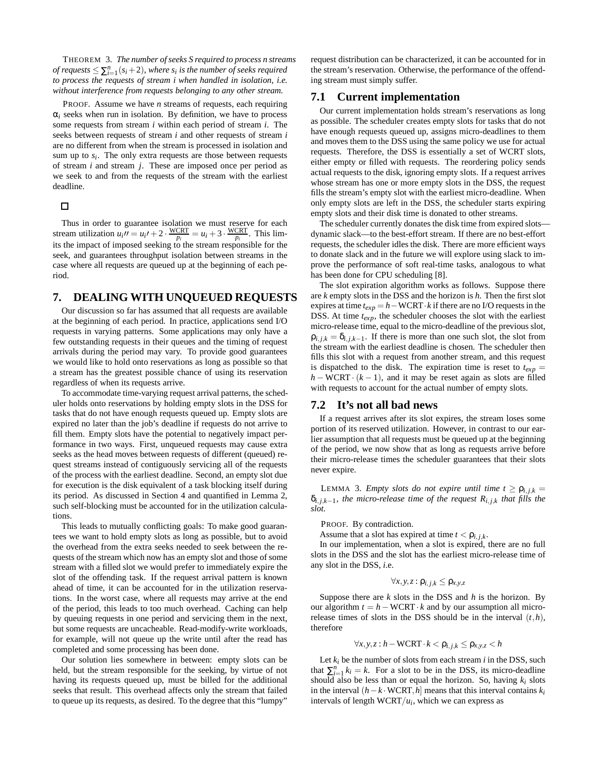THEOREM 3. *The number of seeks S required to process n streams of requests*  $\leq \sum_{i=1}^{n} (s_i + 2)$ *, where*  $s_i$  *is the number of seeks required to process the requests of stream i when handled in isolation, i.e. without interference from requests belonging to any other stream.*

PROOF. Assume we have *n* streams of requests, each requiring  $\alpha_i$  seeks when run in isolation. By definition, we have to process some requests from stream *i* within each period of stream *i*. The seeks between requests of stream *i* and other requests of stream *i* are no different from when the stream is processed in isolation and sum up to *s<sup>i</sup>* . The only extra requests are those between requests of stream *i* and stream *j*. These are imposed once per period as we seek to and from the requests of the stream with the earliest deadline.

## $\Box$

Thus in order to guarantee isolation we must reserve for each stream utilization  $u_i / l = u_i / + 2 \cdot \frac{WCRT}{p_i} = u_i + 3 \cdot \frac{WCRT}{p_i}$ . This limits the impact of imposed seeking to the stream responsible for the seek, and guarantees throughput isolation between streams in the case where all requests are queued up at the beginning of each period.

# **7. DEALING WITH UNQUEUED REQUESTS**

Our discussion so far has assumed that all requests are available at the beginning of each period. In practice, applications send I/O requests in varying patterns. Some applications may only have a few outstanding requests in their queues and the timing of request arrivals during the period may vary. To provide good guarantees we would like to hold onto reservations as long as possible so that a stream has the greatest possible chance of using its reservation regardless of when its requests arrive.

To accommodate time-varying request arrival patterns, the scheduler holds onto reservations by holding empty slots in the DSS for tasks that do not have enough requests queued up. Empty slots are expired no later than the job's deadline if requests do not arrive to fill them. Empty slots have the potential to negatively impact performance in two ways. First, unqueued requests may cause extra seeks as the head moves between requests of different (queued) request streams instead of contiguously servicing all of the requests of the process with the earliest deadline. Second, an empty slot due for execution is the disk equivalent of a task blocking itself during its period. As discussed in Section 4 and quantified in Lemma 2, such self-blocking must be accounted for in the utilization calculations.

This leads to mutually conflicting goals: To make good guarantees we want to hold empty slots as long as possible, but to avoid the overhead from the extra seeks needed to seek between the requests of the stream which now has an empty slot and those of some stream with a filled slot we would prefer to immediately expire the slot of the offending task. If the request arrival pattern is known ahead of time, it can be accounted for in the utilization reservations. In the worst case, where all requests may arrive at the end of the period, this leads to too much overhead. Caching can help by queuing requests in one period and servicing them in the next, but some requests are uncacheable. Read-modify-write workloads, for example, will not queue up the write until after the read has completed and some processing has been done.

Our solution lies somewhere in between: empty slots can be held, but the stream responsible for the seeking, by virtue of not having its requests queued up, must be billed for the additional seeks that result. This overhead affects only the stream that failed to queue up its requests, as desired. To the degree that this "lumpy"

request distribution can be characterized, it can be accounted for in the stream's reservation. Otherwise, the performance of the offending stream must simply suffer.

## **7.1 Current implementation**

Our current implementation holds stream's reservations as long as possible. The scheduler creates empty slots for tasks that do not have enough requests queued up, assigns micro-deadlines to them and moves them to the DSS using the same policy we use for actual requests. Therefore, the DSS is essentially a set of WCRT slots, either empty or filled with requests. The reordering policy sends actual requests to the disk, ignoring empty slots. If a request arrives whose stream has one or more empty slots in the DSS, the request fills the stream's empty slot with the earliest micro-deadline. When only empty slots are left in the DSS, the scheduler starts expiring empty slots and their disk time is donated to other streams.

The scheduler currently donates the disk time from expired slots dynamic slack—to the best-effort stream. If there are no best-effort requests, the scheduler idles the disk. There are more efficient ways to donate slack and in the future we will explore using slack to improve the performance of soft real-time tasks, analogous to what has been done for CPU scheduling [8].

The slot expiration algorithm works as follows. Suppose there are *k* empty slots in the DSS and the horizon is *h*. Then the first slot expires at time  $t_{exp} = h - WCRT \cdot k$  if there are no I/O requests in the DSS. At time *texp*, the scheduler chooses the slot with the earliest micro-release time, equal to the micro-deadline of the previous slot,  $\rho_{i,j,k} = \delta_{i,j,k-1}$ . If there is more than one such slot, the slot from the stream with the earliest deadline is chosen. The scheduler then fills this slot with a request from another stream, and this request is dispatched to the disk. The expiration time is reset to  $t_{exp}$  =  $h$  − WCRT ·  $(k - 1)$ , and it may be reset again as slots are filled with requests to account for the actual number of empty slots.

#### **7.2 It's not all bad news**

If a request arrives after its slot expires, the stream loses some portion of its reserved utilization. However, in contrast to our earlier assumption that all requests must be queued up at the beginning of the period, we now show that as long as requests arrive before their micro-release times the scheduler guarantees that their slots never expire.

**LEMMA** 3. *Empty slots do not expire until time t*  $\geq \rho_{i,j,k}$ δ*i*, *<sup>j</sup>*,*k*−1*, the micro-release time of the request Ri*, *<sup>j</sup>*,*<sup>k</sup> that fills the slot.*

PROOF. By contradiction.

Assume that a slot has expired at time  $t < \rho_{i,j,k}$ .

In our implementation, when a slot is expired, there are no full slots in the DSS and the slot has the earliest micro-release time of any slot in the DSS, *i*.e.

$$
\forall x, y, z : \rho_{i,j,k} \leq \rho_{x,y,z}
$$

Suppose there are *k* slots in the DSS and *h* is the horizon. By our algorithm  $t = h - WCRT \cdot k$  and by our assumption all microrelease times of slots in the DSS should be in the interval  $(t, h)$ , therefore

$$
\forall x, y, z : h - \text{WCRT} \cdot k < \rho_{i,j,k} \le \rho_{x,y,z} < h
$$

Let  $k_i$  be the number of slots from each stream  $i$  in the DSS, such that  $\sum_{i=1}^{n} k_i = k$ . For a slot to be in the DSS, its micro-deadline should also be less than or equal the horizon. So, having  $k_i$  slots in the interval (*h*−*k* ·WCRT,*h*] means that this interval contains *k<sup>i</sup>* intervals of length WCRT/*u<sup>i</sup>* , which we can express as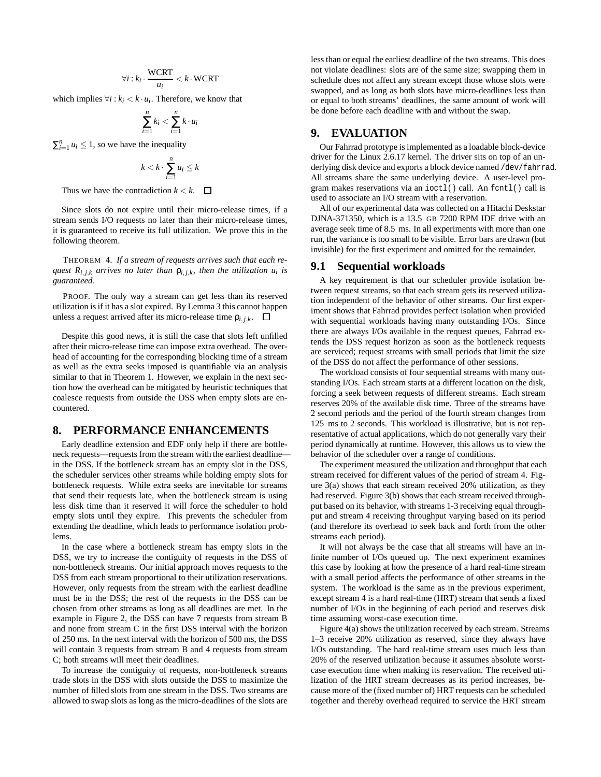$$
\forall i: k_i \cdot \frac{\text{WCRT}}{u_i} < k \cdot \text{WCRT}
$$

which implies  $\forall i : k_i < k \cdot u_i$ . Therefore, we know that

$$
\sum_{i=1}^n k_i < \sum_{i=1}^n k \cdot u_i
$$

 $\sum_{i=1}^{n} u_i \leq 1$ , so we have the inequality

$$
k < k \cdot \sum_{i=1}^{n} u_i \le k
$$

Thus we have the contradiction  $k < k$ .  $\Box$ 

Since slots do not expire until their micro-release times, if a stream sends I/O requests no later than their micro-release times, it is guaranteed to receive its full utilization. We prove this in the following theorem.

THEOREM 4. *If a stream of requests arrives such that each request*  $R_{i,j,k}$  *arrives no later than*  $\rho_{i,j,k}$ *, then the utilization*  $u_i$  *is guaranteed.*

PROOF. The only way a stream can get less than its reserved utilization is if it has a slot expired. By Lemma 3 this cannot happen unless a request arrived after its micro-release time  $\rho_{i,j,k}$ .

Despite this good news, it is still the case that slots left unfilled after their micro-release time can impose extra overhead. The overhead of accounting for the corresponding blocking time of a stream as well as the extra seeks imposed is quantifiable via an analysis similar to that in Theorem 1. However, we explain in the next section how the overhead can be mitigated by heuristic techniques that coalesce requests from outside the DSS when empty slots are encountered.

# **8. PERFORMANCE ENHANCEMENTS**

Early deadline extension and EDF only help if there are bottleneck requests—requests from the stream with the earliest deadline in the DSS. If the bottleneck stream has an empty slot in the DSS, the scheduler services other streams while holding empty slots for bottleneck requests. While extra seeks are inevitable for streams that send their requests late, when the bottleneck stream is using less disk time than it reserved it will force the scheduler to hold empty slots until they expire. This prevents the scheduler from extending the deadline, which leads to performance isolation problems.

In the case where a bottleneck stream has empty slots in the DSS, we try to increase the contiguity of requests in the DSS of non-bottleneck streams. Our initial approach moves requests to the DSS from each stream proportional to their utilization reservations. However, only requests from the stream with the earliest deadline must be in the DSS; the rest of the requests in the DSS can be chosen from other streams as long as all deadlines are met. In the example in Figure 2, the DSS can have 7 requests from stream B and none from stream C in the first DSS interval with the horizon of 250 ms. In the next interval with the horizon of 500 ms, the DSS will contain 3 requests from stream B and 4 requests from stream C; both streams will meet their deadlines.

To increase the contiguity of requests, non-bottleneck streams trade slots in the DSS with slots outside the DSS to maximize the number of filled slots from one stream in the DSS. Two streams are allowed to swap slots as long as the micro-deadlines of the slots are less than or equal the earliest deadline of the two streams. This does not violate deadlines: slots are of the same size; swapping them in schedule does not affect any stream except those whose slots were swapped, and as long as both slots have micro-deadlines less than or equal to both streams' deadlines, the same amount of work will be done before each deadline with and without the swap.

# **9. EVALUATION**

Our Fahrrad prototype is implemented as a loadable block-device driver for the Linux 2.6.17 kernel. The driver sits on top of an underlying disk device and exports a block device named /dev/fahrrad. All streams share the same underlying device. A user-level program makes reservations via an ioctl() call. An fcntl() call is used to associate an I/O stream with a reservation.

All of our experimental data was collected on a Hitachi Deskstar DJNA-371350, which is a 13.5 GB 7200 RPM IDE drive with an average seek time of 8.5 ms. In all experiments with more than one run, the variance is too small to be visible. Error bars are drawn (but invisible) for the first experiment and omitted for the remainder.

#### **9.1 Sequential workloads**

A key requirement is that our scheduler provide isolation between request streams, so that each stream gets its reserved utilization independent of the behavior of other streams. Our first experiment shows that Fahrrad provides perfect isolation when provided with sequential workloads having many outstanding I/Os. Since there are always I/Os available in the request queues, Fahrrad extends the DSS request horizon as soon as the bottleneck requests are serviced; request streams with small periods that limit the size of the DSS do not affect the performance of other sessions.

The workload consists of four sequential streams with many outstanding I/Os. Each stream starts at a different location on the disk, forcing a seek between requests of different streams. Each stream reserves 20% of the available disk time. Three of the streams have 2 second periods and the period of the fourth stream changes from 125 ms to 2 seconds. This workload is illustrative, but is not representative of actual applications, which do not generally vary their period dynamically at runtime. However, this allows us to view the behavior of the scheduler over a range of conditions.

The experiment measured the utilization and throughput that each stream received for different values of the period of stream 4. Figure 3(a) shows that each stream received 20% utilization, as they had reserved. Figure 3(b) shows that each stream received throughput based on its behavior, with streams 1-3 receiving equal throughput and stream 4 receiving throughput varying based on its period (and therefore its overhead to seek back and forth from the other streams each period).

It will not always be the case that all streams will have an infinite number of I/Os queued up. The next experiment examines this case by looking at how the presence of a hard real-time stream with a small period affects the performance of other streams in the system. The workload is the same as in the previous experiment, except stream 4 is a hard real-time (HRT) stream that sends a fixed number of I/Os in the beginning of each period and reserves disk time assuming worst-case execution time.

Figure 4(a) shows the utilization received by each stream. Streams 1–3 receive 20% utilization as reserved, since they always have I/Os outstanding. The hard real-time stream uses much less than 20% of the reserved utilization because it assumes absolute worstcase execution time when making its reservation. The received utilization of the HRT stream decreases as its period increases, because more of the (fixed number of) HRT requests can be scheduled together and thereby overhead required to service the HRT stream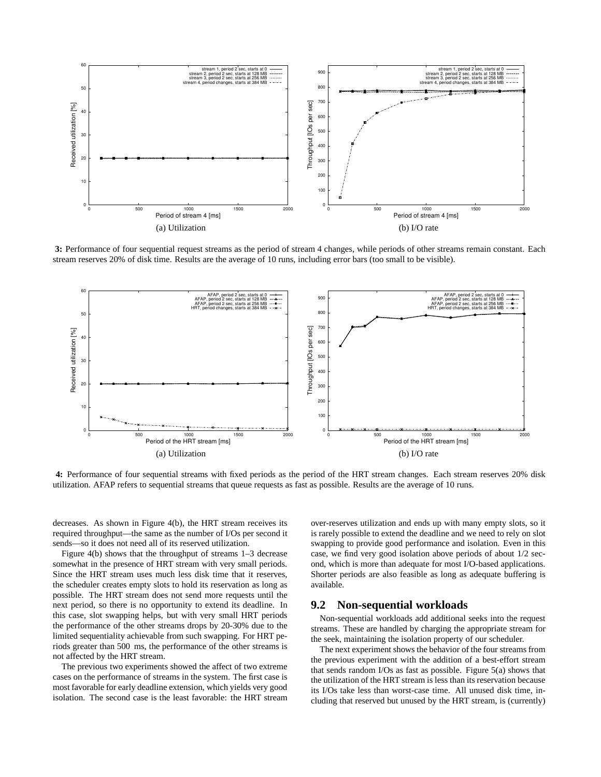

**3:** Performance of four sequential request streams as the period of stream 4 changes, while periods of other streams remain constant. Each stream reserves 20% of disk time. Results are the average of 10 runs, including error bars (too small to be visible).



**4:** Performance of four sequential streams with fixed periods as the period of the HRT stream changes. Each stream reserves 20% disk utilization. AFAP refers to sequential streams that queue requests as fast as possible. Results are the average of 10 runs.

decreases. As shown in Figure 4(b), the HRT stream receives its required throughput—the same as the number of I/Os per second it sends—so it does not need all of its reserved utilization.

Figure 4(b) shows that the throughput of streams 1–3 decrease somewhat in the presence of HRT stream with very small periods. Since the HRT stream uses much less disk time that it reserves, the scheduler creates empty slots to hold its reservation as long as possible. The HRT stream does not send more requests until the next period, so there is no opportunity to extend its deadline. In this case, slot swapping helps, but with very small HRT periods the performance of the other streams drops by 20-30% due to the limited sequentiality achievable from such swapping. For HRT periods greater than 500 ms, the performance of the other streams is not affected by the HRT stream.

The previous two experiments showed the affect of two extreme cases on the performance of streams in the system. The first case is most favorable for early deadline extension, which yields very good isolation. The second case is the least favorable: the HRT stream over-reserves utilization and ends up with many empty slots, so it is rarely possible to extend the deadline and we need to rely on slot swapping to provide good performance and isolation. Even in this case, we find very good isolation above periods of about 1/2 second, which is more than adequate for most I/O-based applications. Shorter periods are also feasible as long as adequate buffering is available.

# **9.2 Non-sequential workloads**

Non-sequential workloads add additional seeks into the request streams. These are handled by charging the appropriate stream for the seek, maintaining the isolation property of our scheduler.

The next experiment shows the behavior of the four streams from the previous experiment with the addition of a best-effort stream that sends random I/Os as fast as possible. Figure 5(a) shows that the utilization of the HRT stream is less than its reservation because its I/Os take less than worst-case time. All unused disk time, including that reserved but unused by the HRT stream, is (currently)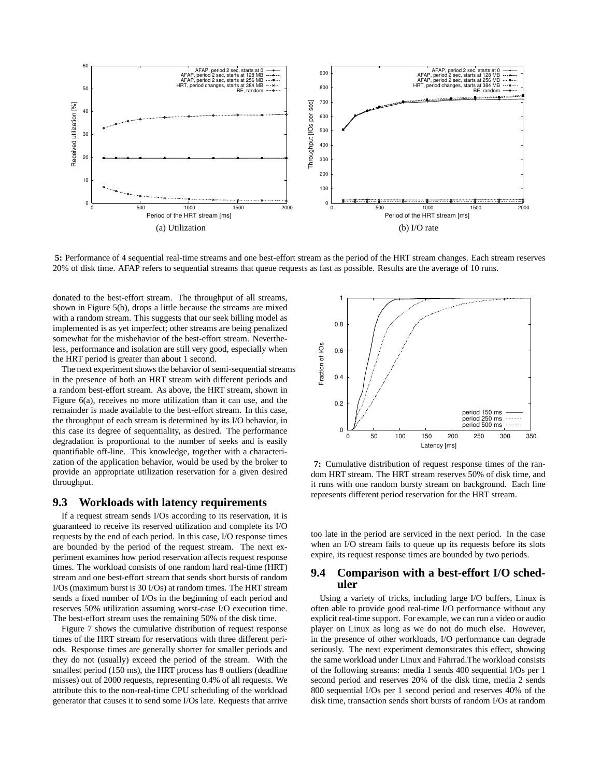

**5:** Performance of 4 sequential real-time streams and one best-effort stream as the period of the HRT stream changes. Each stream reserves 20% of disk time. AFAP refers to sequential streams that queue requests as fast as possible. Results are the average of 10 runs.

donated to the best-effort stream. The throughput of all streams, shown in Figure 5(b), drops a little because the streams are mixed with a random stream. This suggests that our seek billing model as implemented is as yet imperfect; other streams are being penalized somewhat for the misbehavior of the best-effort stream. Nevertheless, performance and isolation are still very good, especially when the HRT period is greater than about 1 second.

The next experiment shows the behavior of semi-sequential streams in the presence of both an HRT stream with different periods and a random best-effort stream. As above, the HRT stream, shown in Figure 6(a), receives no more utilization than it can use, and the remainder is made available to the best-effort stream. In this case, the throughput of each stream is determined by its I/O behavior, in this case its degree of sequentiality, as desired. The performance degradation is proportional to the number of seeks and is easily quantifiable off-line. This knowledge, together with a characterization of the application behavior, would be used by the broker to provide an appropriate utilization reservation for a given desired throughput.

#### **9.3 Workloads with latency requirements**

If a request stream sends I/Os according to its reservation, it is guaranteed to receive its reserved utilization and complete its I/O requests by the end of each period. In this case, I/O response times are bounded by the period of the request stream. The next experiment examines how period reservation affects request response times. The workload consists of one random hard real-time (HRT) stream and one best-effort stream that sends short bursts of random I/Os (maximum burst is 30 I/Os) at random times. The HRT stream sends a fixed number of I/Os in the beginning of each period and reserves 50% utilization assuming worst-case I/O execution time. The best-effort stream uses the remaining 50% of the disk time.

Figure 7 shows the cumulative distribution of request response times of the HRT stream for reservations with three different periods. Response times are generally shorter for smaller periods and they do not (usually) exceed the period of the stream. With the smallest period (150 ms), the HRT process has 8 outliers (deadline misses) out of 2000 requests, representing 0.4% of all requests. We attribute this to the non-real-time CPU scheduling of the workload generator that causes it to send some I/Os late. Requests that arrive



**7:** Cumulative distribution of request response times of the random HRT stream. The HRT stream reserves 50% of disk time, and it runs with one random bursty stream on background. Each line represents different period reservation for the HRT stream.

too late in the period are serviced in the next period. In the case when an I/O stream fails to queue up its requests before its slots expire, its request response times are bounded by two periods.

# **9.4 Comparison with a best-effort I/O scheduler**

Using a variety of tricks, including large I/O buffers, Linux is often able to provide good real-time I/O performance without any explicit real-time support. For example, we can run a video or audio player on Linux as long as we do not do much else. However, in the presence of other workloads, I/O performance can degrade seriously. The next experiment demonstrates this effect, showing the same workload under Linux and Fahrrad.The workload consists of the following streams: media 1 sends 400 sequential I/Os per 1 second period and reserves 20% of the disk time, media 2 sends 800 sequential I/Os per 1 second period and reserves 40% of the disk time, transaction sends short bursts of random I/Os at random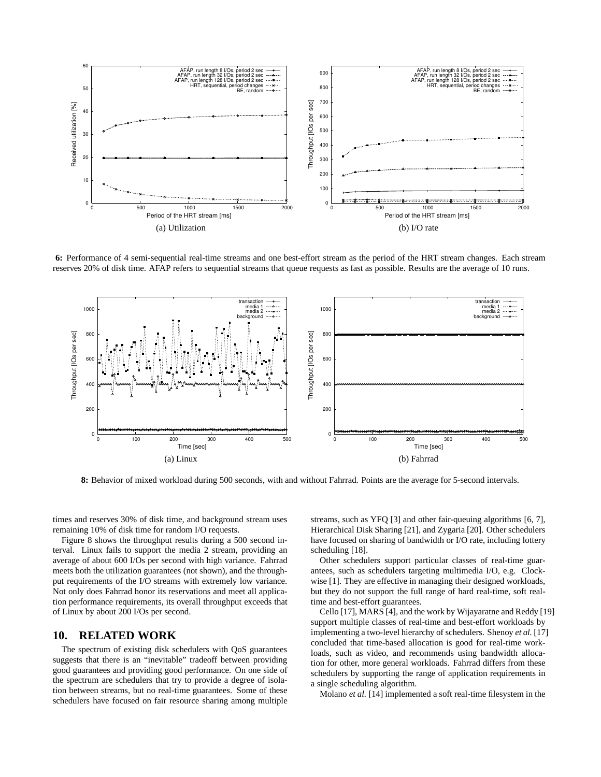

**6:** Performance of 4 semi-sequential real-time streams and one best-effort stream as the period of the HRT stream changes. Each stream reserves 20% of disk time. AFAP refers to sequential streams that queue requests as fast as possible. Results are the average of 10 runs.



**8:** Behavior of mixed workload during 500 seconds, with and without Fahrrad. Points are the average for 5-second intervals.

times and reserves 30% of disk time, and background stream uses remaining 10% of disk time for random I/O requests.

Figure 8 shows the throughput results during a 500 second interval. Linux fails to support the media 2 stream, providing an average of about 600 I/Os per second with high variance. Fahrrad meets both the utilization guarantees (not shown), and the throughput requirements of the I/O streams with extremely low variance. Not only does Fahrrad honor its reservations and meet all application performance requirements, its overall throughput exceeds that of Linux by about 200 I/Os per second.

# **10. RELATED WORK**

The spectrum of existing disk schedulers with QoS guarantees suggests that there is an "inevitable" tradeoff between providing good guarantees and providing good performance. On one side of the spectrum are schedulers that try to provide a degree of isolation between streams, but no real-time guarantees. Some of these schedulers have focused on fair resource sharing among multiple

streams, such as YFQ [3] and other fair-queuing algorithms [6, 7], Hierarchical Disk Sharing [21], and Zygaria [20]. Other schedulers have focused on sharing of bandwidth or I/O rate, including lottery scheduling [18].

Other schedulers support particular classes of real-time guarantees, such as schedulers targeting multimedia I/O, e.g. Clockwise [1]. They are effective in managing their designed workloads, but they do not support the full range of hard real-time, soft realtime and best-effort guarantees.

Cello [17], MARS [4], and the work by Wijayaratne and Reddy [19] support multiple classes of real-time and best-effort workloads by implementing a two-level hierarchy of schedulers. Shenoy *et al.* [17] concluded that time-based allocation is good for real-time workloads, such as video, and recommends using bandwidth allocation for other, more general workloads. Fahrrad differs from these schedulers by supporting the range of application requirements in a single scheduling algorithm.

Molano *et al.* [14] implemented a soft real-time filesystem in the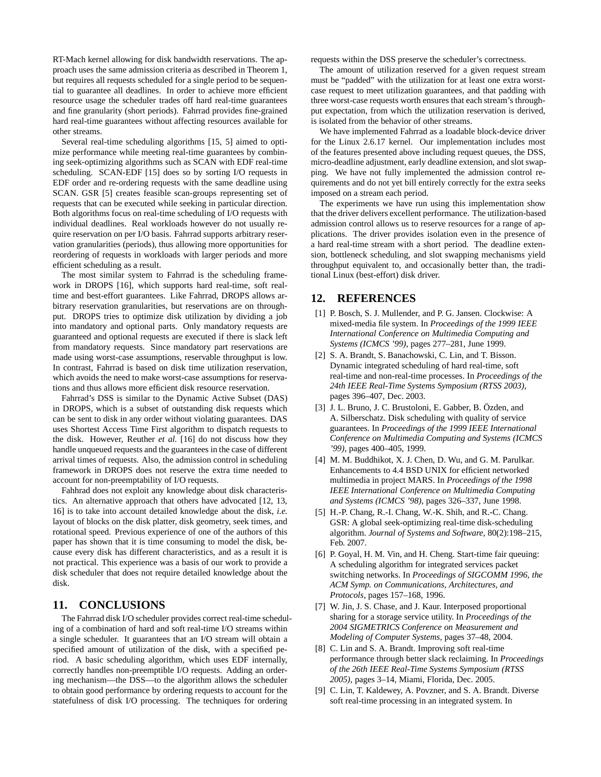RT-Mach kernel allowing for disk bandwidth reservations. The approach uses the same admission criteria as described in Theorem 1, but requires all requests scheduled for a single period to be sequential to guarantee all deadlines. In order to achieve more efficient resource usage the scheduler trades off hard real-time guarantees and fine granularity (short periods). Fahrrad provides fine-grained hard real-time guarantees without affecting resources available for other streams.

Several real-time scheduling algorithms [15, 5] aimed to optimize performance while meeting real-time guarantees by combining seek-optimizing algorithms such as SCAN with EDF real-time scheduling. SCAN-EDF [15] does so by sorting I/O requests in EDF order and re-ordering requests with the same deadline using SCAN. GSR [5] creates feasible scan-groups representing set of requests that can be executed while seeking in particular direction. Both algorithms focus on real-time scheduling of I/O requests with individual deadlines. Real workloads however do not usually require reservation on per I/O basis. Fahrrad supports arbitrary reservation granularities (periods), thus allowing more opportunities for reordering of requests in workloads with larger periods and more efficient scheduling as a result.

The most similar system to Fahrrad is the scheduling framework in DROPS [16], which supports hard real-time, soft realtime and best-effort guarantees. Like Fahrrad, DROPS allows arbitrary reservation granularities, but reservations are on throughput. DROPS tries to optimize disk utilization by dividing a job into mandatory and optional parts. Only mandatory requests are guaranteed and optional requests are executed if there is slack left from mandatory requests. Since mandatory part reservations are made using worst-case assumptions, reservable throughput is low. In contrast, Fahrrad is based on disk time utilization reservation, which avoids the need to make worst-case assumptions for reservations and thus allows more efficient disk resource reservation.

Fahrrad's DSS is similar to the Dynamic Active Subset (DAS) in DROPS, which is a subset of outstanding disk requests which can be sent to disk in any order without violating guarantees. DAS uses Shortest Access Time First algorithm to dispatch requests to the disk. However, Reuther *et al.* [16] do not discuss how they handle unqueued requests and the guarantees in the case of different arrival times of requests. Also, the admission control in scheduling framework in DROPS does not reserve the extra time needed to account for non-preemptability of I/O requests.

Fahhrad does not exploit any knowledge about disk characteristics. An alternative approach that others have advocated [12, 13, 16] is to take into account detailed knowledge about the disk, *i.e.* layout of blocks on the disk platter, disk geometry, seek times, and rotational speed. Previous experience of one of the authors of this paper has shown that it is time consuming to model the disk, because every disk has different characteristics, and as a result it is not practical. This experience was a basis of our work to provide a disk scheduler that does not require detailed knowledge about the disk.

# **11. CONCLUSIONS**

The Fahrrad disk I/O scheduler provides correct real-time scheduling of a combination of hard and soft real-time I/O streams within a single scheduler. It guarantees that an I/O stream will obtain a specified amount of utilization of the disk, with a specified period. A basic scheduling algorithm, which uses EDF internally, correctly handles non-preemptible I/O requests. Adding an ordering mechanism—the DSS—to the algorithm allows the scheduler to obtain good performance by ordering requests to account for the statefulness of disk I/O processing. The techniques for ordering

requests within the DSS preserve the scheduler's correctness.

The amount of utilization reserved for a given request stream must be "padded" with the utilization for at least one extra worstcase request to meet utilization guarantees, and that padding with three worst-case requests worth ensures that each stream's throughput expectation, from which the utilization reservation is derived, is isolated from the behavior of other streams.

We have implemented Fahrrad as a loadable block-device driver for the Linux 2.6.17 kernel. Our implementation includes most of the features presented above including request queues, the DSS, micro-deadline adjustment, early deadline extension, and slot swapping. We have not fully implemented the admission control requirements and do not yet bill entirely correctly for the extra seeks imposed on a stream each period.

The experiments we have run using this implementation show that the driver delivers excellent performance. The utilization-based admission control allows us to reserve resources for a range of applications. The driver provides isolation even in the presence of a hard real-time stream with a short period. The deadline extension, bottleneck scheduling, and slot swapping mechanisms yield throughput equivalent to, and occasionally better than, the traditional Linux (best-effort) disk driver.

# **12. REFERENCES**

- [1] P. Bosch, S. J. Mullender, and P. G. Jansen. Clockwise: A mixed-media file system. In *Proceedings of the 1999 IEEE International Conference on Multimedia Computing and Systems (ICMCS '99)*, pages 277–281, June 1999.
- [2] S. A. Brandt, S. Banachowski, C. Lin, and T. Bisson. Dynamic integrated scheduling of hard real-time, soft real-time and non-real-time processes. In *Proceedings of the 24th IEEE Real-Time Systems Symposium (RTSS 2003)*, pages 396–407, Dec. 2003.
- [3] J. L. Bruno, J. C. Brustoloni, E. Gabber, B. Özden, and A. Silberschatz. Disk scheduling with quality of service guarantees. In *Proceedings of the 1999 IEEE International Conference on Multimedia Computing and Systems (ICMCS '99)*, pages 400–405, 1999.
- [4] M. M. Buddhikot, X. J. Chen, D. Wu, and G. M. Parulkar. Enhancements to 4.4 BSD UNIX for efficient networked multimedia in project MARS. In *Proceedings of the 1998 IEEE International Conference on Multimedia Computing and Systems (ICMCS '98)*, pages 326–337, June 1998.
- [5] H.-P. Chang, R.-I. Chang, W.-K. Shih, and R.-C. Chang. GSR: A global seek-optimizing real-time disk-scheduling algorithm. *Journal of Systems and Software*, 80(2):198–215, Feb. 2007.
- [6] P. Goyal, H. M. Vin, and H. Cheng. Start-time fair queuing: A scheduling algorithm for integrated services packet switching networks. In *Proceedings of SIGCOMM 1996, the ACM Symp. on Communications, Architectures, and Protocols*, pages 157–168, 1996.
- [7] W. Jin, J. S. Chase, and J. Kaur. Interposed proportional sharing for a storage service utility. In *Proceedings of the 2004 SIGMETRICS Conference on Measurement and Modeling of Computer Systems*, pages 37–48, 2004.
- [8] C. Lin and S. A. Brandt. Improving soft real-time performance through better slack reclaiming. In *Proceedings of the 26th IEEE Real-Time Systems Symposium (RTSS 2005)*, pages 3–14, Miami, Florida, Dec. 2005.
- [9] C. Lin, T. Kaldewey, A. Povzner, and S. A. Brandt. Diverse soft real-time processing in an integrated system. In